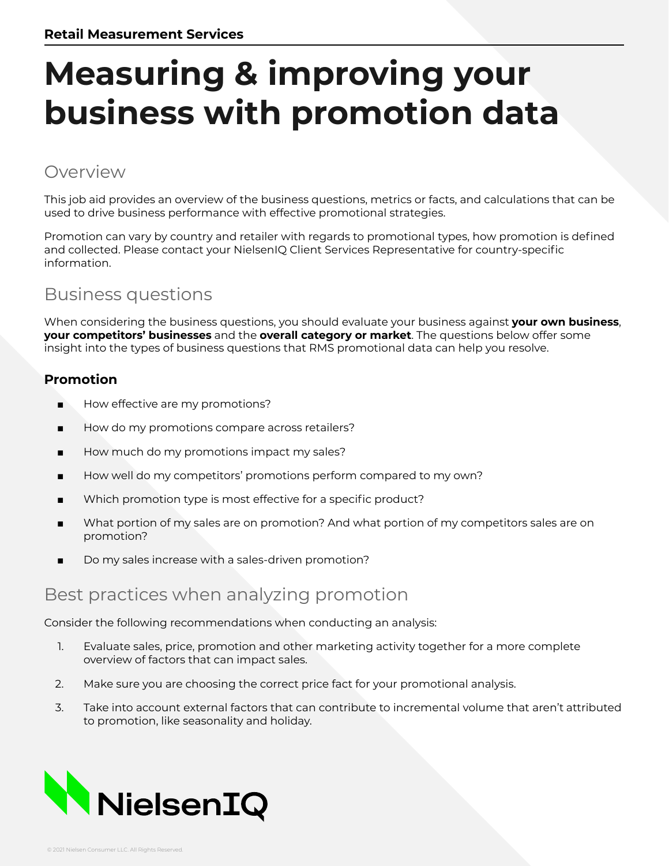# **Measuring & improving your business with promotion data**

#### Overview

This job aid provides an overview of the business questions, metrics or facts, and calculations that can be used to drive business performance with effective promotional strategies.

Promotion can vary by country and retailer with regards to promotional types, how promotion is defined and collected. Please contact your NielsenIQ Client Services Representative for country-specific information.

#### Business questions

When considering the business questions, you should evaluate your business against **your own business**, **your competitors' businesses** and the **overall category or market**. The questions below offer some insight into the types of business questions that RMS promotional data can help you resolve.

#### **Promotion**

- How effective are my promotions?
- How do my promotions compare across retailers?
- How much do my promotions impact my sales?
- How well do my competitors' promotions perform compared to my own?
- Which promotion type is most effective for a specific product?
- What portion of my sales are on promotion? And what portion of my competitors sales are on promotion?
- Do my sales increase with a sales-driven promotion?

#### Best practices when analyzing promotion

Consider the following recommendations when conducting an analysis:

- 1. Evaluate sales, price, promotion and other marketing activity together for a more complete overview of factors that can impact sales.
- 2. Make sure you are choosing the correct price fact for your promotional analysis.
- 3. Take into account external factors that can contribute to incremental volume that aren't attributed to promotion, like seasonality and holiday.

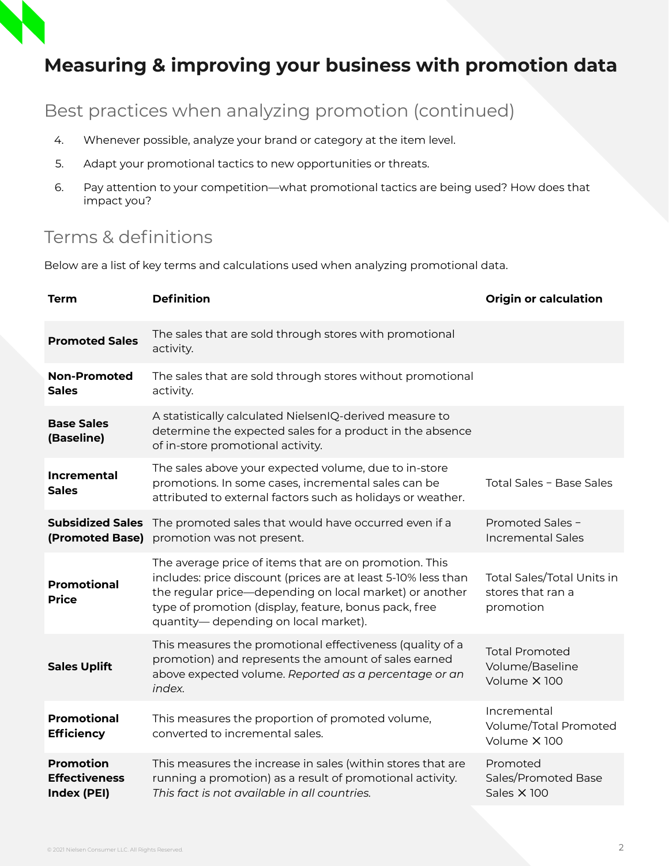## **Measuring & improving your business with promotion data**

Best practices when analyzing promotion (continued)

- 4. Whenever possible, analyze your brand or category at the item level.
- 5. Adapt your promotional tactics to new opportunities or threats.
- 6. Pay attention to your competition—what promotional tactics are being used? How does that impact you?

#### Terms & definitions

Below are a list of key terms and calculations used when analyzing promotional data.

| <b>Term</b>                                             | <b>Definition</b>                                                                                                                                                                                                                                                                    | <b>Origin or calculation</b>                                 |
|---------------------------------------------------------|--------------------------------------------------------------------------------------------------------------------------------------------------------------------------------------------------------------------------------------------------------------------------------------|--------------------------------------------------------------|
| <b>Promoted Sales</b>                                   | The sales that are sold through stores with promotional<br>activity.                                                                                                                                                                                                                 |                                                              |
| <b>Non-Promoted</b><br><b>Sales</b>                     | The sales that are sold through stores without promotional<br>activity.                                                                                                                                                                                                              |                                                              |
| <b>Base Sales</b><br>(Baseline)                         | A statistically calculated NielsenIQ-derived measure to<br>determine the expected sales for a product in the absence<br>of in-store promotional activity.                                                                                                                            |                                                              |
| <b>Incremental</b><br><b>Sales</b>                      | The sales above your expected volume, due to in-store<br>promotions. In some cases, incremental sales can be<br>attributed to external factors such as holidays or weather.                                                                                                          | Total Sales - Base Sales                                     |
| <b>Subsidized Sales</b><br>(Promoted Base)              | The promoted sales that would have occurred even if a<br>promotion was not present.                                                                                                                                                                                                  | Promoted Sales -<br><b>Incremental Sales</b>                 |
| <b>Promotional</b><br><b>Price</b>                      | The average price of items that are on promotion. This<br>includes: price discount (prices are at least 5-10% less than<br>the regular price-depending on local market) or another<br>type of promotion (display, feature, bonus pack, free<br>quantity— depending on local market). | Total Sales/Total Units in<br>stores that ran a<br>promotion |
| <b>Sales Uplift</b>                                     | This measures the promotional effectiveness (quality of a<br>promotion) and represents the amount of sales earned<br>above expected volume. Reported as a percentage or an<br>index.                                                                                                 | <b>Total Promoted</b><br>Volume/Baseline<br>Volume X 100     |
| <b>Promotional</b><br><b>Efficiency</b>                 | This measures the proportion of promoted volume,<br>converted to incremental sales.                                                                                                                                                                                                  | Incremental<br>Volume/Total Promoted<br>Volume X 100         |
| <b>Promotion</b><br><b>Effectiveness</b><br>Index (PEI) | This measures the increase in sales (within stores that are<br>running a promotion) as a result of promotional activity.<br>This fact is not available in all countries.                                                                                                             | Promoted<br>Sales/Promoted Base<br><b>Sales X 100</b>        |